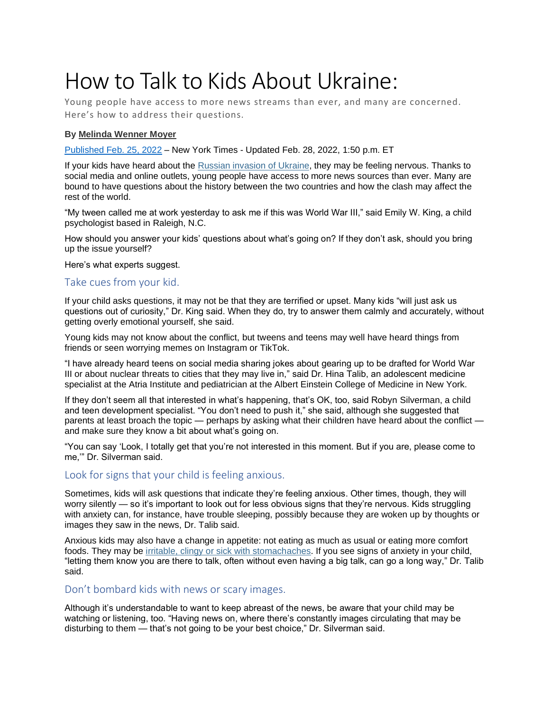# How to Talk to Kids About Ukraine:

Young people have access to more news streams than ever, and many are concerned. Here's how to address their questions.

#### **By [Melinda](https://www.nytimes.com/by/melinda-wenner-moyer) Wenner Moyer**

[Published](https://www.nytimes.com/2022/02/25/well/family/kids-teens-ukraine-russia.html) Feb. 25, 2022 – New York Times - Updated Feb. 28, 2022, 1:50 p.m. ET

If your kids have heard about the Russian invasion of [Ukraine,](https://www.nytimes.com/live/2022/02/28/world/ukraine-russia-war) they may be feeling nervous. Thanks to social media and online outlets, young people have access to more news sources than ever. Many are bound to have questions about the history between the two countries and how the clash may affect the rest of the world.

"My tween called me at work yesterday to ask me if this was World War III," said Emily W. King, a child psychologist based in Raleigh, N.C.

How should you answer your kids' questions about what's going on? If they don't ask, should you bring up the issue yourself?

Here's what experts suggest.

#### Take cues from your kid.

If your child asks questions, it may not be that they are terrified or upset. Many kids "will just ask us questions out of curiosity," Dr. King said. When they do, try to answer them calmly and accurately, without getting overly emotional yourself, she said.

Young kids may not know about the conflict, but tweens and teens may well have heard things from friends or seen worrying memes on Instagram or TikTok.

"I have already heard teens on social media sharing jokes about gearing up to be drafted for World War III or about nuclear threats to cities that they may live in," said Dr. Hina Talib, an adolescent medicine specialist at the Atria Institute and pediatrician at the Albert Einstein College of Medicine in New York.

If they don't seem all that interested in what's happening, that's OK, too, said Robyn Silverman, a child and teen development specialist. "You don't need to push it," she said, although she suggested that parents at least broach the topic — perhaps by asking what their children have heard about the conflict and make sure they know a bit about what's going on.

"You can say 'Look, I totally get that you're not interested in this moment. But if you are, please come to me,'" Dr. Silverman said.

### Look for signs that your child is feeling anxious.

Sometimes, kids will ask questions that indicate they're feeling anxious. Other times, though, they will worry silently — so it's important to look out for less obvious signs that they're nervous. Kids struggling with anxiety can, for instance, have trouble sleeping, possibly because they are woken up by thoughts or images they saw in the news, Dr. Talib said.

Anxious kids may also have a change in appetite: not eating as much as usual or eating more comfort foods. They may be irritable, clingy or sick with [stomachaches.](https://www.aacap.org/AACAP/Families_and_Youth/Facts_for_Families/FFF-Guide/The-Anxious-Child-047.aspx) If you see signs of anxiety in your child, "letting them know you are there to talk, often without even having a big talk, can go a long way," Dr. Talib said.

#### Don't bombard kids with news or scary images.

Although it's understandable to want to keep abreast of the news, be aware that your child may be watching or listening, too. "Having news on, where there's constantly images circulating that may be disturbing to them — that's not going to be your best choice," Dr. Silverman said.